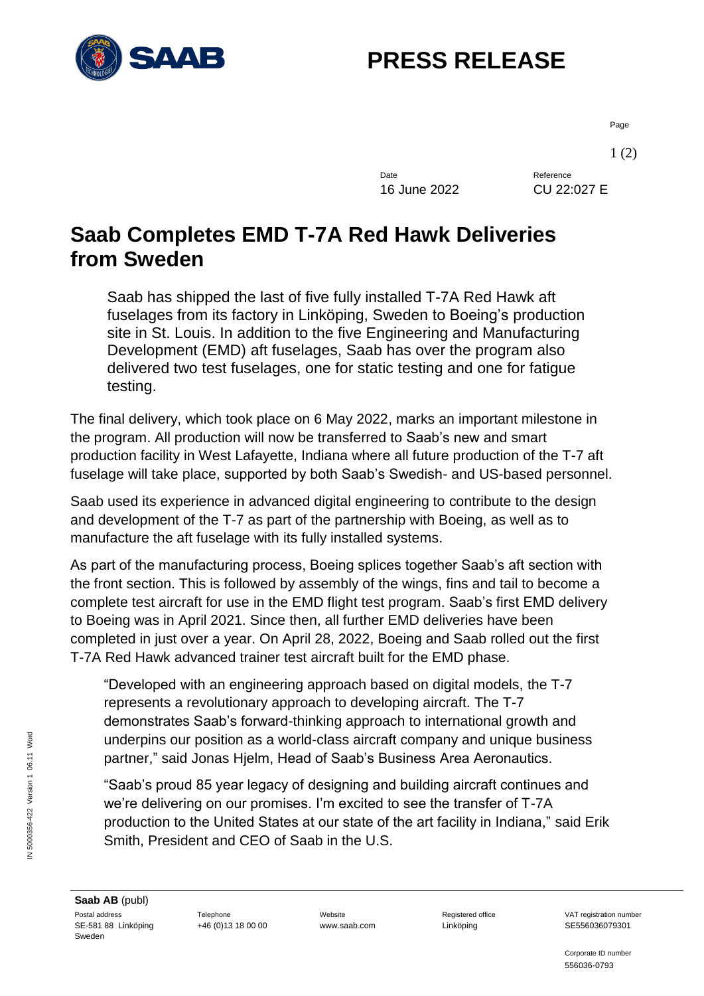

## **PRESS RELEASE**

Page

1 (2)

Date Reference 16 June 2022 CU 22:027 E

## **Saab Completes EMD T-7A Red Hawk Deliveries from Sweden**

Saab has shipped the last of five fully installed T-7A Red Hawk aft fuselages from its factory in Linköping, Sweden to Boeing's production site in St. Louis. In addition to the five Engineering and Manufacturing Development (EMD) aft fuselages, Saab has over the program also delivered two test fuselages, one for static testing and one for fatigue testing.

The final delivery, which took place on 6 May 2022, marks an important milestone in the program. All production will now be transferred to Saab's new and smart production facility in West Lafayette, Indiana where all future production of the T-7 aft fuselage will take place, supported by both Saab's Swedish- and US-based personnel.

Saab used its experience in advanced digital engineering to contribute to the design and development of the T-7 as part of the partnership with Boeing, as well as to manufacture the aft fuselage with its fully installed systems.

As part of the manufacturing process, Boeing splices together Saab's aft section with the front section. This is followed by assembly of the wings, fins and tail to become a complete test aircraft for use in the EMD flight test program. Saab's first EMD delivery to Boeing was in April 2021. Since then, all further EMD deliveries have been completed in just over a year. On April 28, 2022, Boeing and Saab rolled out the first T-7A Red Hawk advanced trainer test aircraft built for the EMD phase.

"Developed with an engineering approach based on digital models, the T-7 represents a revolutionary approach to developing aircraft. The T-7 demonstrates Saab's forward-thinking approach to international growth and underpins our position as a world-class aircraft company and unique business partner," said Jonas Hjelm, Head of Saab's Business Area Aeronautics.

"Saab's proud 85 year legacy of designing and building aircraft continues and we're delivering on our promises. I'm excited to see the transfer of T-7A production to the United States at our state of the art facility in Indiana," said Erik Smith, President and CEO of Saab in the U.S.

+46 (0)13 18 00 00 www.saab.com Linköping SE556036079301

Corporate ID number 556036-0793